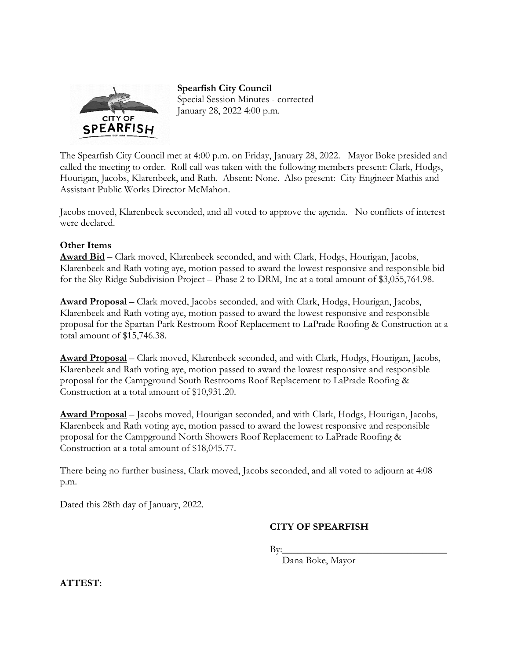

**Spearfish City Council**  Special Session Minutes - corrected January 28, 2022 4:00 p.m.

The Spearfish City Council met at 4:00 p.m. on Friday, January 28, 2022. Mayor Boke presided and called the meeting to order. Roll call was taken with the following members present: Clark, Hodgs, Hourigan, Jacobs, Klarenbeek, and Rath. Absent: None. Also present: City Engineer Mathis and Assistant Public Works Director McMahon.

Jacobs moved, Klarenbeek seconded, and all voted to approve the agenda. No conflicts of interest were declared.

## **Other Items**

**Award Bid** – Clark moved, Klarenbeek seconded, and with Clark, Hodgs, Hourigan, Jacobs, Klarenbeek and Rath voting aye, motion passed to award the lowest responsive and responsible bid for the Sky Ridge Subdivision Project – Phase 2 to DRM, Inc at a total amount of \$3,055,764.98.

**Award Proposal** – Clark moved, Jacobs seconded, and with Clark, Hodgs, Hourigan, Jacobs, Klarenbeek and Rath voting aye, motion passed to award the lowest responsive and responsible proposal for the Spartan Park Restroom Roof Replacement to LaPrade Roofing & Construction at a total amount of \$15,746.38.

**Award Proposal** – Clark moved, Klarenbeek seconded, and with Clark, Hodgs, Hourigan, Jacobs, Klarenbeek and Rath voting aye, motion passed to award the lowest responsive and responsible proposal for the Campground South Restrooms Roof Replacement to LaPrade Roofing & Construction at a total amount of \$10,931.20.

**Award Proposal** – Jacobs moved, Hourigan seconded, and with Clark, Hodgs, Hourigan, Jacobs, Klarenbeek and Rath voting aye, motion passed to award the lowest responsive and responsible proposal for the Campground North Showers Roof Replacement to LaPrade Roofing & Construction at a total amount of \$18,045.77.

There being no further business, Clark moved, Jacobs seconded, and all voted to adjourn at 4:08 p.m.

Dated this 28th day of January, 2022.

## **CITY OF SPEARFISH**

 $\mathbf{By:}\n \overline{\phantom{a}}$ 

Dana Boke, Mayor

**ATTEST:**